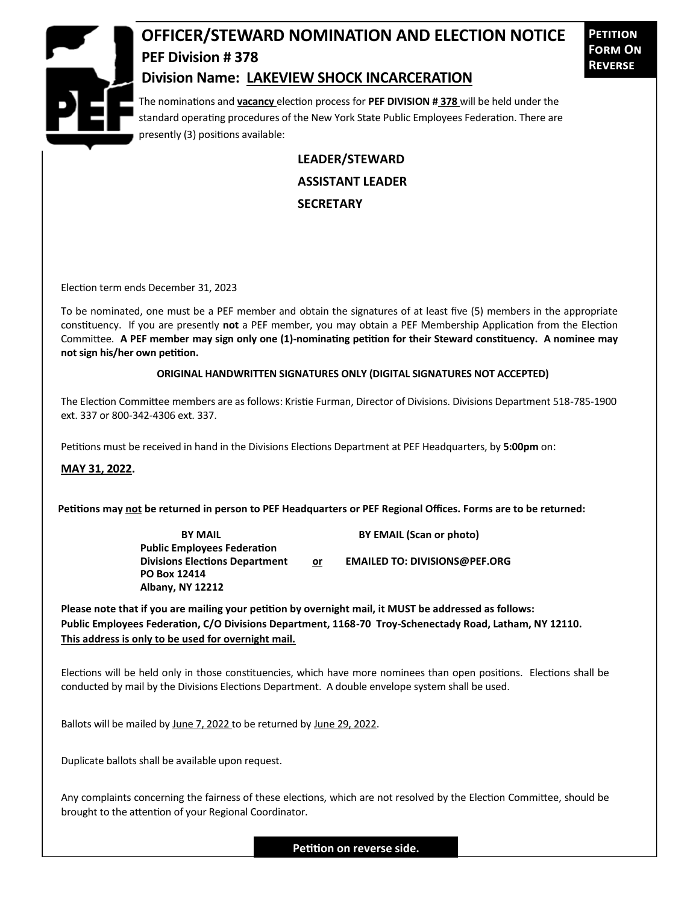

## **OFFICER/STEWARD NOMINATION AND ELECTION NOTICE PEF Division # 378**

**Petition Form On Reverse**

## **Division Name: LAKEVIEW SHOCK INCARCERATION**

The nominations and **vacancy** election process for **PEF DIVISION # 378** will be held under the standard operating procedures of the New York State Public Employees Federation. There are presently (3) positions available:

> **LEADER/STEWARD ASSISTANT LEADER SECRETARY**

Election term ends December 31, 2023

To be nominated, one must be a PEF member and obtain the signatures of at least five (5) members in the appropriate constituency. If you are presently **not** a PEF member, you may obtain a PEF Membership Application from the Election Committee. **A PEF member may sign only one (1)-nominating petition for their Steward constituency. A nominee may not sign his/her own petition.**

## **ORIGINAL HANDWRITTEN SIGNATURES ONLY (DIGITAL SIGNATURES NOT ACCEPTED)**

The Election Committee members are as follows: Kristie Furman, Director of Divisions. Divisions Department 518-785-1900 ext. 337 or 800-342-4306 ext. 337.

Petitions must be received in hand in the Divisions Elections Department at PEF Headquarters, by **5:00pm** on:

**MAY 31, 2022.**

**Petitions may not be returned in person to PEF Headquarters or PEF Regional Offices. Forms are to be returned:**

**Public Employees Federation PO Box 12414 Albany, NY 12212**

**BY MAIL BY EMAIL (Scan or photo)** 

**Divisions Elections Department or EMAILED TO: DIVISIONS@PEF.ORG**

**Please note that if you are mailing your petition by overnight mail, it MUST be addressed as follows: Public Employees Federation, C/O Divisions Department, 1168-70 Troy-Schenectady Road, Latham, NY 12110. This address is only to be used for overnight mail.**

Elections will be held only in those constituencies, which have more nominees than open positions. Elections shall be conducted by mail by the Divisions Elections Department. A double envelope system shall be used.

Ballots will be mailed by June 7, 2022 to be returned by June 29, 2022.

Duplicate ballots shall be available upon request.

Any complaints concerning the fairness of these elections, which are not resolved by the Election Committee, should be brought to the attention of your Regional Coordinator.

**Petition on reverse side.**